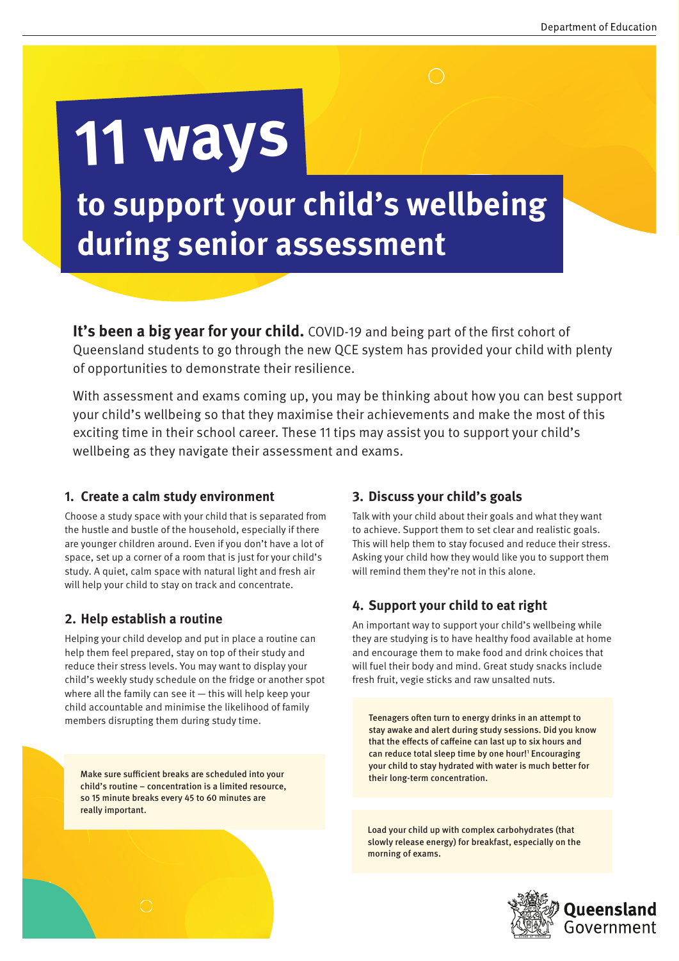# **to support your child's wellbeing during senior assessment**

**It's been a big year for your child.** COVID-19 and being part of the first cohort of Queensland students to go through the new QCE system has provided your child with plenty of opportunities to demonstrate their resilience.

With assessment and exams coming up, you may be thinking about how you can best support your child's wellbeing so that they maximise their achievements and make the most of this exciting time in their school career. These 11 tips may assist you to support your child's wellbeing as they navigate their assessment and exams.

## **1. Create a calm study environment**

**11 ways** 

Choose a study space with your child that is separated from the hustle and bustle of the household, especially if there are younger children around. Even if you don't have a lot of space, set up a corner of a room that is just for your child's study. A quiet, calm space with natural light and fresh air will help your child to stay on track and concentrate.

# **2. Help establish a routine**

Helping your child develop and put in place a routine can help them feel prepared, stay on top of their study and reduce their stress levels. You may want to display your child's weekly study schedule on the fridge or another spot where all the family can see it  $-$  this will help keep your child accountable and minimise the likelihood of family members disrupting them during study time.

Make sure sufficient breaks are scheduled into your child's routine – concentration is a limited resource, so 15 minute breaks every 45 to 60 minutes are really important.

# **3. Discuss your child's goals**

Talk with your child about their goals and what they want to achieve. Support them to set clear and realistic goals. This will help them to stay focused and reduce their stress. Asking your child how they would like you to support them will remind them they're not in this alone.

# **4. Support your child to eat right**

An important way to support your child's wellbeing while they are studying is to have healthy food available at home and encourage them to make food and drink choices that will fuel their body and mind. Great study snacks include fresh fruit, vegie sticks and raw unsalted nuts.

Teenagers often turn to energy drinks in an attempt to stay awake and alert during study sessions. Did you know that the effects of caffeine can last up to six hours and can reduce total sleep time by one hour!<sup>1</sup> Encouraging your child to stay hydrated with water is much better for their long-term concentration.

Load your child up with complex carbohydrates (that slowly release energy) for breakfast, especially on the morning of exams.